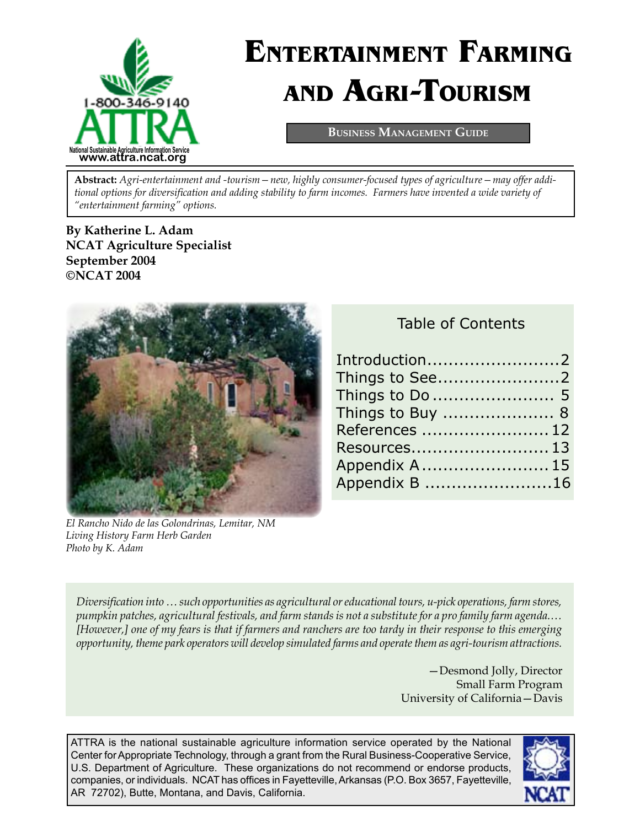

# **ENTERTAINMENT FARMING AND AGRI-TOURISM**

**BUSINESS MANAGEMENT GUIDE**

**Abstract:** *Agri-entertainment and -tourism—new, highly consumer-focused types of agriculture—may offer additional options for diversification and adding stability to farm incomes. Farmers have invented a wide variety of "entertainment farming" options.* 

**By [Katherine L. Adam](mailto:kadam@ncat.org) NCAT Agriculture Specialist September 2004 ©NCAT 2004**



*El Rancho Nido de las Golondrinas, Lemitar, NM Living History Farm Herb Garden Photo by K. Adam*

| Introduction2    |  |
|------------------|--|
|                  |  |
|                  |  |
| Things to Buy  8 |  |
| References  12   |  |
|                  |  |
| Appendix A 15    |  |
| Appendix B 16    |  |
|                  |  |

*Diversification into … such opportunities as agricultural or educational tours, u-pick operations, farm stores, pumpkin patches, agricultural festivals, and farm stands is not a substitute for a pro family farm agenda.… [However,] one of my fears is that if farmers and ranchers are too tardy in their response to this emerging opportunity, theme park operators will develop simulated farms and operate them as agri-tourism attractions.* 

> —Desmond Jolly, Director Small Farm Program University of California—Davis

ATTRA is the national sustainable agriculture information service operated by the National Center for Appropriate Technology, through a grant from the Rural Business-Cooperative Service, U.S. Department of Agriculture. These organizations do not recommend or endorse products, companies, or individuals. NCAT has offices in Fayetteville, Arkansas (P.O. Box 3657, Fayetteville, AR 72702), Butte, Montana, and Davis, California.

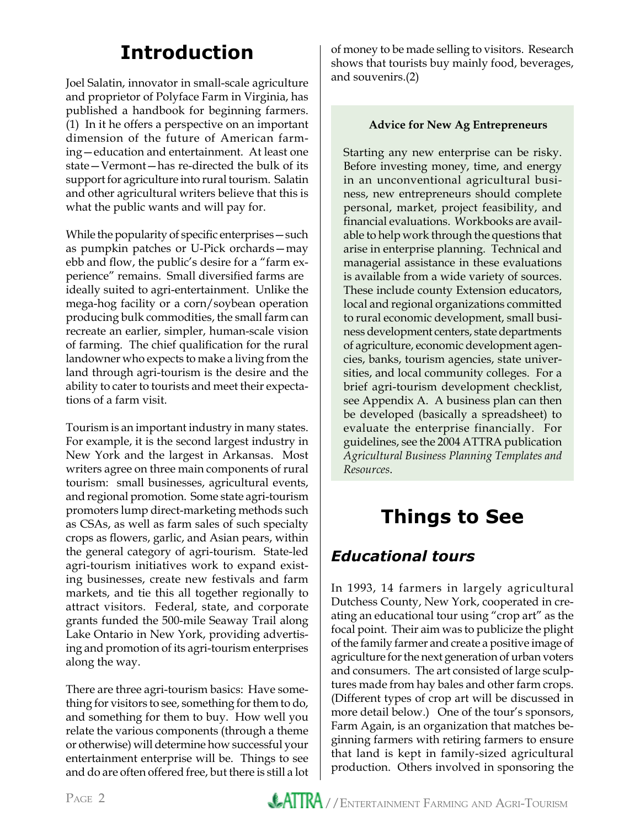### **Introduction**

Joel Salatin, innovator in small-scale agriculture and proprietor of Polyface Farm in Virginia, has published a handbook for beginning farmers. (1) In it he offers a perspective on an important dimension of the future of American farming—education and entertainment. At least one state—Vermont—has re-directed the bulk of its support for agriculture into rural tourism. Salatin and other agricultural writers believe that this is what the public wants and will pay for.

While the popularity of specific enterprises—such as pumpkin patches or U-Pick orchards—may ebb and flow, the public's desire for a "farm experience" remains. Small diversified farms are ideally suited to agri-entertainment. Unlike the mega-hog facility or a corn/soybean operation producing bulk commodities, the small farm can recreate an earlier, simpler, human-scale vision of farming. The chief qualification for the rural landowner who expects to make a living from the land through agri-tourism is the desire and the ability to cater to tourists and meet their expectations of a farm visit.

Tourism is an important industry in many states. For example, it is the second largest industry in New York and the largest in Arkansas. Most writers agree on three main components of rural tourism: small businesses, agricultural events, and regional promotion. Some state agri-tourism promoters lump direct-marketing methods such as CSAs, as well as farm sales of such specialty crops as flowers, garlic, and Asian pears, within the general category of agri-tourism. State-led agri-tourism initiatives work to expand existing businesses, create new festivals and farm markets, and tie this all together regionally to attract visitors. Federal, state, and corporate grants funded the 500-mile Seaway Trail along Lake Ontario in New York, providing advertising and promotion of its agri-tourism enterprises along the way.

There are three agri-tourism basics: Have something for visitors to see, something for them to do, and something for them to buy. How well you relate the various components (through a theme or otherwise) will determine how successful your entertainment enterprise will be. Things to see and do are often offered free, but there is still a lot

of money to be made selling to visitors. Research shows that tourists buy mainly food, beverages, and souvenirs.(2)

#### **Advice for New Ag Entrepreneurs**

Starting any new enterprise can be risky. Before investing money, time, and energy in an unconventional agricultural business, new entrepreneurs should complete personal, market, project feasibility, and financial evaluations. Workbooks are available to help work through the questions that arise in enterprise planning. Technical and managerial assistance in these evaluations is available from a wide variety of sources. These include county Extension educators, local and regional organizations committed to rural economic development, small business development centers, state departments of agriculture, economic development agencies, banks, tourism agencies, state universities, and local community colleges. For a brief agri-tourism development checklist, see Appendix A. A business plan can then be developed (basically a spreadsheet) to evaluate the enterprise financially. For guidelines, see the 2004 ATTRA publication *Agricultural Business Planning Templates and Resources*.

## **Things to See**

### *Educational tours*

In 1993, 14 farmers in largely agricultural Dutchess County, New York, cooperated in creating an educational tour using "crop art" as the focal point. Their aim was to publicize the plight of the family farmer and create a positive image of agriculture for the next generation of urban voters and consumers. The art consisted of large sculptures made from hay bales and other farm crops. (Different types of crop art will be discussed in more detail below.) One of the tour's sponsors, Farm Again, is an organization that matches beginning farmers with retiring farmers to ensure that land is kept in family-sized agricultural production. Others involved in sponsoring the

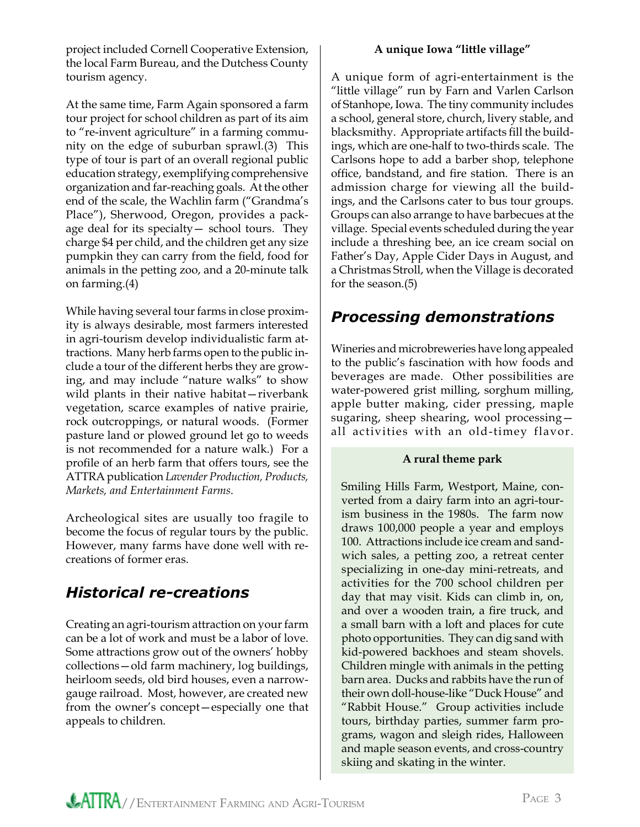project included Cornell Cooperative Extension, the local Farm Bureau, and the Dutchess County tourism agency.

At the same time, Farm Again sponsored a farm tour project for school children as part of its aim to "re-invent agriculture" in a farming community on the edge of suburban sprawl.(3) This type of tour is part of an overall regional public education strategy, exemplifying comprehensive organization and far-reaching goals. At the other end of the scale, the Wachlin farm ("Grandma's Place"), Sherwood, Oregon, provides a package deal for its specialty— school tours. They charge \$4 per child, and the children get any size pumpkin they can carry from the field, food for animals in the petting zoo, and a 20-minute talk on farming.(4)

While having several tour farms in close proximity is always desirable, most farmers interested in agri-tourism develop individualistic farm attractions. Many herb farms open to the public include a tour of the different herbs they are growing, and may include "nature walks" to show wild plants in their native habitat—riverbank vegetation, scarce examples of native prairie, rock outcroppings, or natural woods. (Former pasture land or plowed ground let go to weeds is not recommended for a nature walk.) For a profile of an herb farm that offers tours, see the ATTRA publication *Lavender Production, Products, Markets, and Entertainment Farms*.

Archeological sites are usually too fragile to become the focus of regular tours by the public. However, many farms have done well with recreations of former eras.

### *Historical re-creations*

Creating an agri-tourism attraction on your farm can be a lot of work and must be a labor of love. Some attractions grow out of the owners' hobby collections—old farm machinery, log buildings, heirloom seeds, old bird houses, even a narrowgauge railroad. Most, however, are created new from the owner's concept—especially one that appeals to children.

#### **A unique Iowa "little village"**

A unique form of agri-entertainment is the "little village" run by Farn and Varlen Carlson of Stanhope, Iowa. The tiny community includes a school, general store, church, livery stable, and blacksmithy. Appropriate artifacts fill the buildings, which are one-half to two-thirds scale. The Carlsons hope to add a barber shop, telephone office, bandstand, and fire station. There is an admission charge for viewing all the buildings, and the Carlsons cater to bus tour groups. Groups can also arrange to have barbecues at the village. Special events scheduled during the year include a threshing bee, an ice cream social on Father's Day, Apple Cider Days in August, and a Christmas Stroll, when the Village is decorated for the season.(5)

### *Processing demonstrations*

Wineries and microbreweries have long appealed to the public's fascination with how foods and beverages are made. Other possibilities are water-powered grist milling, sorghum milling, apple butter making, cider pressing, maple sugaring, sheep shearing, wool processing all activities with an old-timey flavor.

#### **A rural theme park**

Smiling Hills Farm, Westport, Maine, converted from a dairy farm into an agri-tourism business in the 1980s. The farm now draws 100,000 people a year and employs 100. Attractions include ice cream and sandwich sales, a petting zoo, a retreat center specializing in one-day mini-retreats, and activities for the 700 school children per day that may visit. Kids can climb in, on, and over a wooden train, a fire truck, and a small barn with a loft and places for cute photo opportunities. They can dig sand with kid-powered backhoes and steam shovels. Children mingle with animals in the petting barn area. Ducks and rabbits have the run of their own doll-house-like "Duck House" and "Rabbit House." Group activities include tours, birthday parties, summer farm programs, wagon and sleigh rides, Halloween and maple season events, and cross-country skiing and skating in the winter.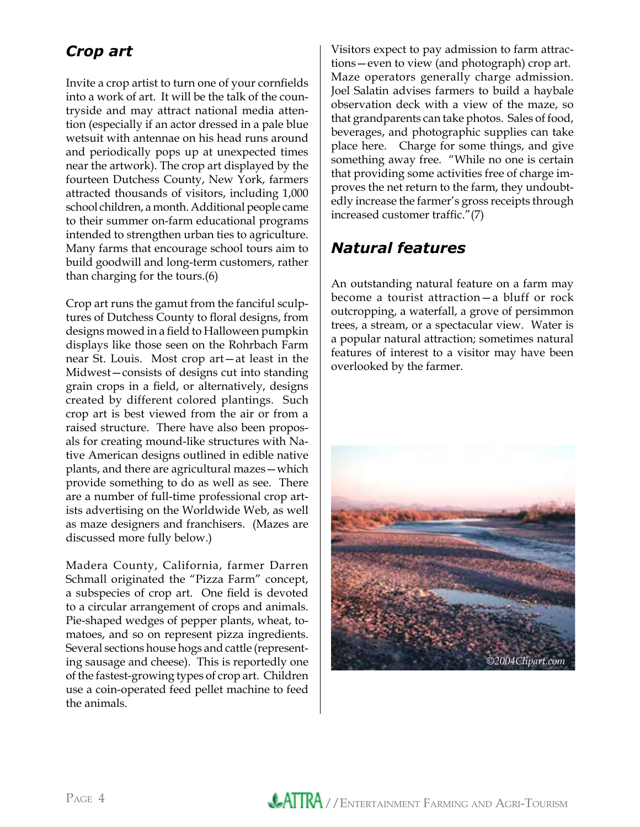### *Crop art*

Invite a crop artist to turn one of your cornfields into a work of art. It will be the talk of the countryside and may attract national media attention (especially if an actor dressed in a pale blue wetsuit with antennae on his head runs around and periodically pops up at unexpected times near the artwork). The crop art displayed by the fourteen Dutchess County, New York, farmers attracted thousands of visitors, including 1,000 school children, a month. Additional people came to their summer on-farm educational programs intended to strengthen urban ties to agriculture. Many farms that encourage school tours aim to build goodwill and long-term customers, rather than charging for the tours.(6)

Crop art runs the gamut from the fanciful sculptures of Dutchess County to floral designs, from designs mowed in a field to Halloween pumpkin displays like those seen on the Rohrbach Farm near St. Louis. Most crop art—at least in the Midwest—consists of designs cut into standing grain crops in a field, or alternatively, designs created by different colored plantings. Such crop art is best viewed from the air or from a raised structure. There have also been proposals for creating mound-like structures with Native American designs outlined in edible native plants, and there are agricultural mazes—which provide something to do as well as see. There are a number of full-time professional crop artists advertising on the Worldwide Web, as well as maze designers and franchisers. (Mazes are discussed more fully below.)

Madera County, California, farmer Darren Schmall originated the "Pizza Farm" concept, a subspecies of crop art. One field is devoted to a circular arrangement of crops and animals. Pie-shaped wedges of pepper plants, wheat, tomatoes, and so on represent pizza ingredients. Several sections house hogs and cattle (representing sausage and cheese). This is reportedly one of the fastest-growing types of crop art. Children use a coin-operated feed pellet machine to feed the animals.

Visitors expect to pay admission to farm attractions—even to view (and photograph) crop art. Maze operators generally charge admission. Joel Salatin advises farmers to build a haybale observation deck with a view of the maze, so that grandparents can take photos. Sales of food, beverages, and photographic supplies can take place here. Charge for some things, and give something away free. "While no one is certain that providing some activities free of charge improves the net return to the farm, they undoubtedly increase the farmer's gross receipts through increased customer traffic."(7)

### *Natural features*

An outstanding natural feature on a farm may become a tourist attraction—a bluff or rock outcropping, a waterfall, a grove of persimmon trees, a stream, or a spectacular view. Water is a popular natural attraction; sometimes natural features of interest to a visitor may have been overlooked by the farmer.

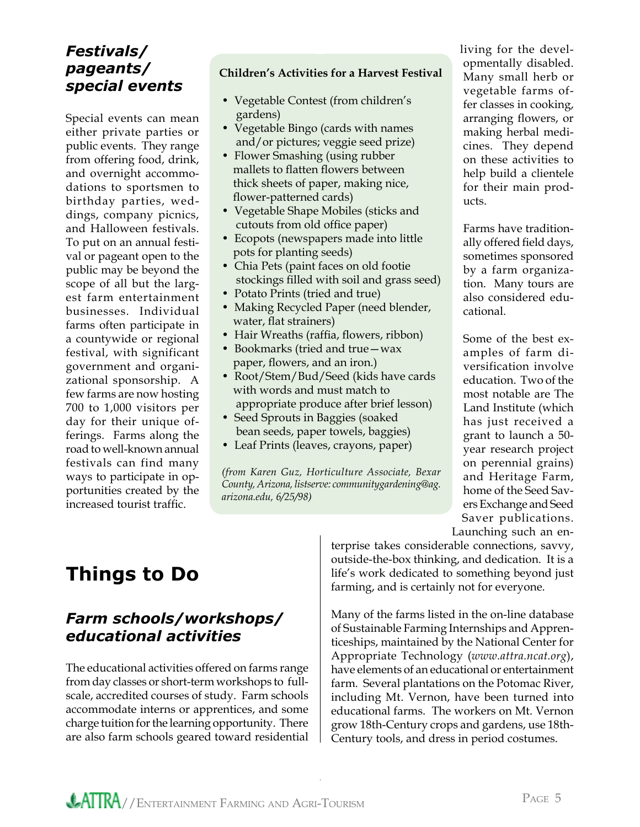### *Festivals/ pageants/ special events*

Special events can mean either private parties or public events. They range from offering food, drink, and overnight accommodations to sportsmen to birthday parties, weddings, company picnics, and Halloween festivals. To put on an annual festival or pageant open to the public may be beyond the scope of all but the largest farm entertainment businesses. Individual farms often participate in a countywide or regional festival, with significant government and organizational sponsorship. A few farms are now hosting 700 to 1,000 visitors per day for their unique offerings. Farms along the road to well-known annual festivals can find many ways to participate in opportunities created by the increased tourist traffic.

#### **Children's Activities for a Harvest Festival**

- Vegetable Contest (from children's gardens)
- Vegetable Bingo (cards with names and/or pictures; veggie seed prize)
- Flower Smashing (using rubber mallets to flatten flowers between thick sheets of paper, making nice, flower-patterned cards)
- Vegetable Shape Mobiles (sticks and cutouts from old office paper)
- Ecopots (newspapers made into little pots for planting seeds)
- Chia Pets (paint faces on old footie stockings filled with soil and grass seed)
- Potato Prints (tried and true)
- Making Recycled Paper (need blender, water, flat strainers)
- Hair Wreaths (raffia, flowers, ribbon)
- Bookmarks (tried and true—wax paper, flowers, and an iron.)
- Root/Stem/Bud/Seed (kids have cards with words and must match to appropriate produce after brief lesson)
- Seed Sprouts in Baggies (soaked bean seeds, paper towels, baggies)
- Leaf Prints (leaves, crayons, paper)

*(from Karen Guz, Horticulture Associate, Bexar County, Arizona, listserve: communitygardening@ag. arizona.edu, 6/25/98)*

living for the developmentally disabled. Many small herb or vegetable farms offer classes in cooking, arranging flowers, or making herbal medicines. They depend on these activities to help build a clientele for their main products.

Farms have traditionally offered field days, sometimes sponsored by a farm organization. Many tours are also considered educational.

Some of the best examples of farm diversification involve education. Two of the most notable are The Land Institute (which has just received a grant to launch a 50 year research project on perennial grains) and Heritage Farm, home of the Seed Savers Exchange and Seed Saver publications. Launching such an en-

## **Things to Do**

### *Farm schools/workshops/ educational activities*

The educational activities offered on farms range from day classes or short-term workshops to fullscale, accredited courses of study. Farm schools accommodate interns or apprentices, and some charge tuition for the learning opportunity. There are also farm schools geared toward residential

terprise takes considerable connections, savvy, outside-the-box thinking, and dedication. It is a life's work dedicated to something beyond just farming, and is certainly not for everyone.

Many of the farms listed in the on-line database of Sustainable Farming Internships and Apprenticeships, maintained by the National Center for Appropriate Technology (*www.attra.ncat.org*), have elements of an educational or entertainment farm. Several plantations on the Potomac River, including Mt. Vernon, have been turned into educational farms. The workers on Mt. Vernon grow 18th-Century crops and gardens, use 18th-Century tools, and dress in period costumes.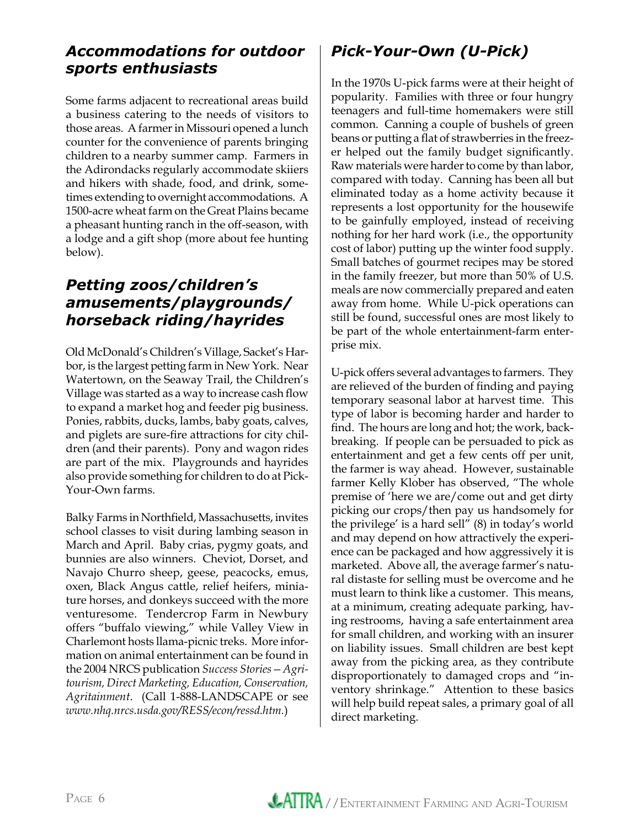### *Accommodations for outdoor sports enthusiasts*

Some farms adjacent to recreational areas build a business catering to the needs of visitors to those areas. A farmer in Missouri opened a lunch counter for the convenience of parents bringing children to a nearby summer camp. Farmers in the Adirondacks regularly accommodate skiiers and hikers with shade, food, and drink, sometimes extending to overnight accommodations. A 1500-acre wheat farm on the Great Plains became a pheasant hunting ranch in the off-season, with a lodge and a gift shop (more about fee hunting below).

### *Petting zoos/children's amusements/playgrounds/ horseback riding/hayrides*

Old McDonald's Children's Village, Sacket's Harbor, is the largest petting farm in New York. Near Watertown, on the Seaway Trail, the Children's Village was started as a way to increase cash flow to expand a market hog and feeder pig business. Ponies, rabbits, ducks, lambs, baby goats, calves, and piglets are sure-fire attractions for city children (and their parents). Pony and wagon rides are part of the mix. Playgrounds and hayrides also provide something for children to do at Pick-Your-Own farms.

Balky Farms in Northfield, Massachusetts, invites school classes to visit during lambing season in March and April. Baby crias, pygmy goats, and bunnies are also winners. Cheviot, Dorset, and Navajo Churro sheep, geese, peacocks, emus, oxen, Black Angus cattle, relief heifers, miniature horses, and donkeys succeed with the more venturesome. Tendercrop Farm in Newbury offers "buffalo viewing," while Valley View in Charlemont hosts llama-picnic treks. More information on animal entertainment can be found in the 2004 NRCS publication *Success Stories—Agritourism, Direct Marketing, Education, Conservation, Agritainment*. (Call 1-888-LANDSCAPE or see *www.nhq.nrcs.usda.gov/RESS/econ/ressd.htm.*)

### *Pick-Your-Own (U-Pick)*

In the 1970s U-pick farms were at their height of popularity. Families with three or four hungry teenagers and full-time homemakers were still common. Canning a couple of bushels of green beans or putting a flat of strawberries in the freezer helped out the family budget significantly. Raw materials were harder to come by than labor, compared with today. Canning has been all but eliminated today as a home activity because it represents a lost opportunity for the housewife to be gainfully employed, instead of receiving nothing for her hard work (i.e., the opportunity cost of labor) putting up the winter food supply. Small batches of gourmet recipes may be stored in the family freezer, but more than 50% of U.S. meals are now commercially prepared and eaten away from home. While U-pick operations can still be found, successful ones are most likely to be part of the whole entertainment-farm enterprise mix.

U-pick offers several advantages to farmers. They are relieved of the burden of finding and paying temporary seasonal labor at harvest time. This type of labor is becoming harder and harder to find. The hours are long and hot; the work, backbreaking. If people can be persuaded to pick as entertainment and get a few cents off per unit, the farmer is way ahead. However, sustainable farmer Kelly Klober has observed, "The whole premise of 'here we are/come out and get dirty picking our crops/then pay us handsomely for the privilege' is a hard sell" (8) in today's world and may depend on how attractively the experience can be packaged and how aggressively it is marketed. Above all, the average farmer's natural distaste for selling must be overcome and he must learn to think like a customer. This means, at a minimum, creating adequate parking, having restrooms, having a safe entertainment area for small children, and working with an insurer on liability issues. Small children are best kept away from the picking area, as they contribute disproportionately to damaged crops and "inventory shrinkage." Attention to these basics will help build repeat sales, a primary goal of all direct marketing.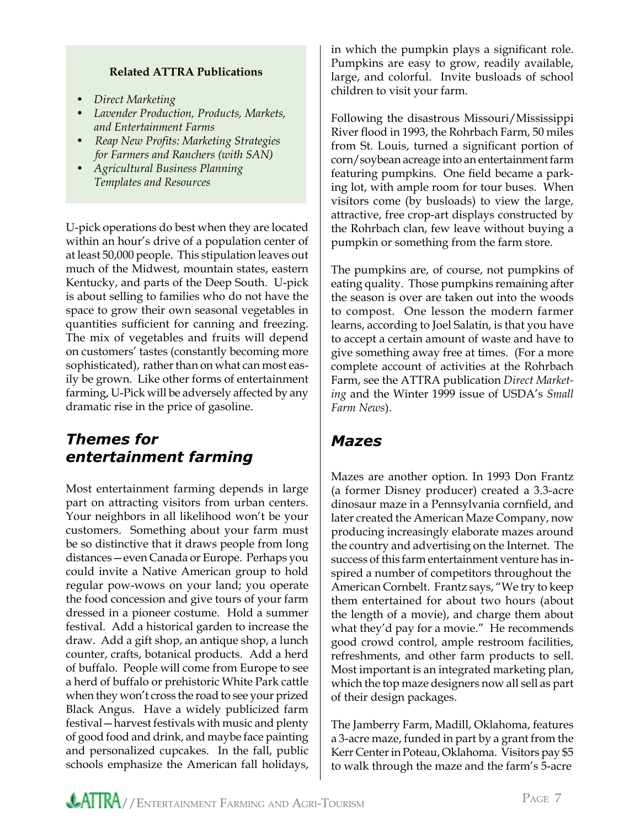#### **Related ATTRA Publications**

- *Direct Marketing*
- *Lavender Production, Products, Markets, and Entertainment Farms*
- *Reap New Profits: Marketing Strategies for Farmers and Ranchers (with SAN)*
- *Agricultural Business Planning Templates and Resources*

U-pick operations do best when they are located within an hour's drive of a population center of at least 50,000 people. This stipulation leaves out much of the Midwest, mountain states, eastern Kentucky, and parts of the Deep South. U-pick is about selling to families who do not have the space to grow their own seasonal vegetables in quantities sufficient for canning and freezing. The mix of vegetables and fruits will depend on customers' tastes (constantly becoming more sophisticated), rather than on what can most easily be grown. Like other forms of entertainment farming, U-Pick will be adversely affected by any dramatic rise in the price of gasoline.

### *Themes for entertainment farming*

Most entertainment farming depends in large part on attracting visitors from urban centers. Your neighbors in all likelihood won't be your customers. Something about your farm must be so distinctive that it draws people from long distances—even Canada or Europe. Perhaps you could invite a Native American group to hold regular pow-wows on your land; you operate the food concession and give tours of your farm dressed in a pioneer costume. Hold a summer festival. Add a historical garden to increase the draw. Add a gift shop, an antique shop, a lunch counter, crafts, botanical products. Add a herd of buffalo. People will come from Europe to see a herd of buffalo or prehistoric White Park cattle when they won't cross the road to see your prized Black Angus. Have a widely publicized farm festival—harvest festivals with music and plenty of good food and drink, and maybe face painting and personalized cupcakes. In the fall, public schools emphasize the American fall holidays,

in which the pumpkin plays a significant role. Pumpkins are easy to grow, readily available, large, and colorful. Invite busloads of school children to visit your farm.

Following the disastrous Missouri/Mississippi River flood in 1993, the Rohrbach Farm, 50 miles from St. Louis, turned a significant portion of corn/soybean acreage into an entertainment farm featuring pumpkins. One field became a parking lot, with ample room for tour buses. When visitors come (by busloads) to view the large, attractive, free crop-art displays constructed by the Rohrbach clan, few leave without buying a pumpkin or something from the farm store.

The pumpkins are, of course, not pumpkins of eating quality. Those pumpkins remaining after the season is over are taken out into the woods to compost. One lesson the modern farmer learns, according to Joel Salatin, is that you have to accept a certain amount of waste and have to give something away free at times. (For a more complete account of activities at the Rohrbach Farm, see the ATTRA publication *Direct Marketing* and the Winter 1999 issue of USDA's *Small Farm News*).

### *Mazes*

Mazes are another option. In 1993 Don Frantz (a former Disney producer) created a 3.3-acre dinosaur maze in a Pennsylvania cornfield, and later created the American Maze Company, now producing increasingly elaborate mazes around the country and advertising on the Internet. The success of this farm entertainment venture has inspired a number of competitors throughout the American Cornbelt. Frantz says, "We try to keep them entertained for about two hours (about the length of a movie), and charge them about what they'd pay for a movie." He recommends good crowd control, ample restroom facilities, refreshments, and other farm products to sell. Most important is an integrated marketing plan, which the top maze designers now all sell as part of their design packages.

The Jamberry Farm, Madill, Oklahoma, features a 3-acre maze, funded in part by a grant from the Kerr Center in Poteau, Oklahoma. Visitors pay \$5 to walk through the maze and the farm's 5-acre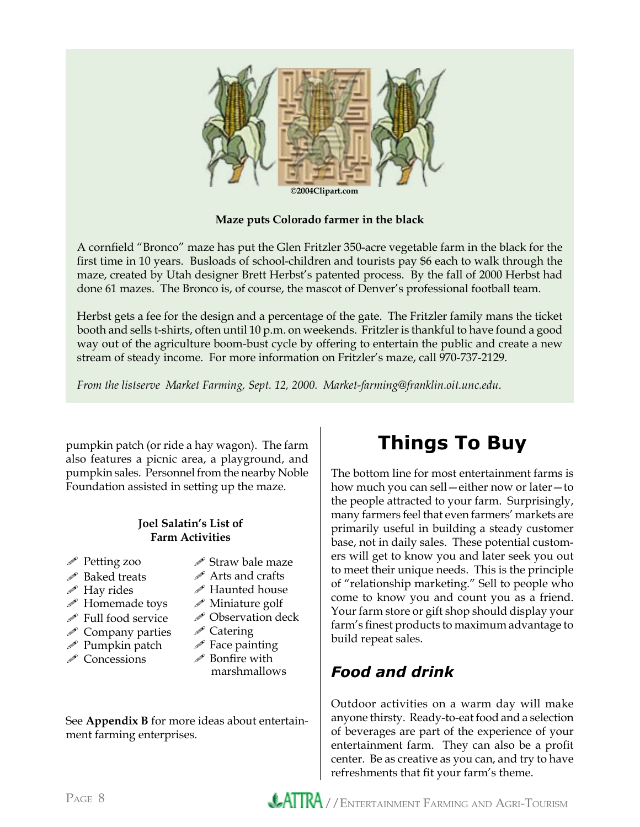

**Maze puts Colorado farmer in the black**

A cornfield "Bronco" maze has put the Glen Fritzler 350-acre vegetable farm in the black for the first time in 10 years. Busloads of school-children and tourists pay \$6 each to walk through the maze, created by Utah designer Brett Herbst's patented process. By the fall of 2000 Herbst had done 61 mazes. The Bronco is, of course, the mascot of Denver's professional football team.

Herbst gets a fee for the design and a percentage of the gate. The Fritzler family mans the ticket booth and sells t-shirts, often until 10 p.m. on weekends. Fritzler is thankful to have found a good way out of the agriculture boom-bust cycle by offering to entertain the public and create a new stream of steady income. For more information on Fritzler's maze, call 970-737-2129.

*From the listserve Market Farming, Sept. 12, 2000. Market-farming@franklin.oit.unc.edu*.

pumpkin patch (or ride a hay wagon). The farm also features a picnic area, a playground, and pumpkin sales. Personnel from the nearby Noble Foundation assisted in setting up the maze.

#### **Joel Salatin's List of Farm Activities**

- Petting zoo
- *i* Baked treats
- $\mathscr N$  Hay rides
- $\mathscr N$  Homemade toys
- $\mathscr S$  Full food service
- $\mathscr S$  Company parties
- $\mathscr P$  Pumpkin patch
- *i* Concessions
- $\mathscr S$  Straw bale maze
- Arts and crafts
- $\mathscr N$  Haunted house
- Miniature golf
- **∕ Observation deck**
- **∕ Catering**
- $\mathscr P$  Face painting
- $\mathscr P$  Bonfire with marshmallows

See **Appendix B** for more ideas about entertainment farming enterprises.

## **Things To Buy**

The bottom line for most entertainment farms is how much you can sell—either now or later—to the people attracted to your farm. Surprisingly, many farmers feel that even farmers' markets are primarily useful in building a steady customer base, not in daily sales. These potential customers will get to know you and later seek you out to meet their unique needs. This is the principle of "relationship marketing." Sell to people who come to know you and count you as a friend. Your farm store or gift shop should display your farm's finest products to maximum advantage to build repeat sales.

### *Food and drink*

Outdoor activities on a warm day will make anyone thirsty. Ready-to-eat food and a selection of beverages are part of the experience of your entertainment farm. They can also be a profit center. Be as creative as you can, and try to have refreshments that fit your farm's theme.

PAGE 8 **ATTRA** / ENTERTAINMENT FARMING AND AGRI-TOURISM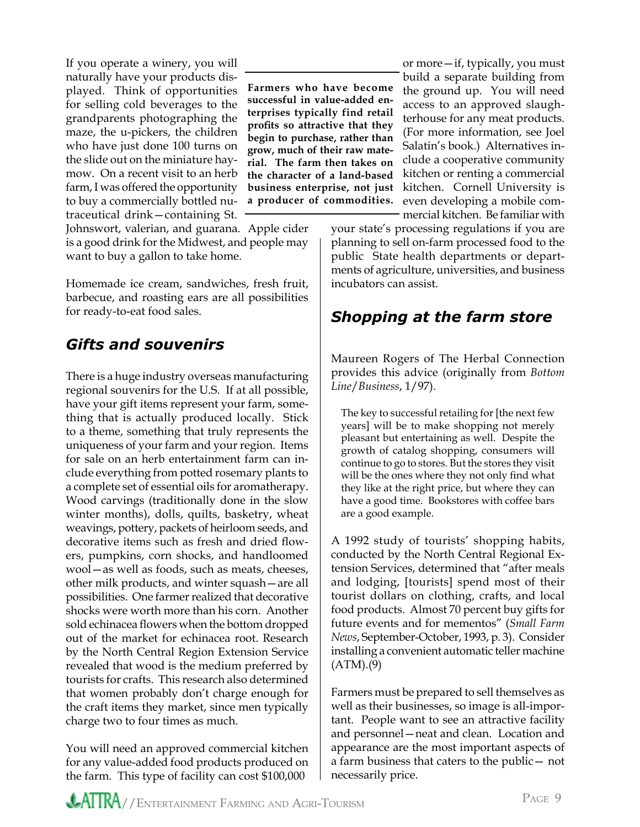If you operate a winery, you will naturally have your products displayed. Think of opportunities for selling cold beverages to the grandparents photographing the maze, the u-pickers, the children who have just done 100 turns on the slide out on the miniature haymow. On a recent visit to an herb farm, I was offered the opportunity to buy a commercially bottled nutraceutical drink—containing St. Johnswort, valerian, and guarana. Apple cider

is a good drink for the Midwest, and people may want to buy a gallon to take home.

Homemade ice cream, sandwiches, fresh fruit, barbecue, and roasting ears are all possibilities for ready-to-eat food sales.

### *Gifts and souvenirs*

There is a huge industry overseas manufacturing regional souvenirs for the U.S. If at all possible, have your gift items represent your farm, something that is actually produced locally. Stick to a theme, something that truly represents the uniqueness of your farm and your region. Items for sale on an herb entertainment farm can include everything from potted rosemary plants to a complete set of essential oils for aromatherapy. Wood carvings (traditionally done in the slow winter months), dolls, quilts, basketry, wheat weavings, pottery, packets of heirloom seeds, and decorative items such as fresh and dried flowers, pumpkins, corn shocks, and handloomed wool—as well as foods, such as meats, cheeses, other milk products, and winter squash—are all possibilities. One farmer realized that decorative shocks were worth more than his corn. Another sold echinacea flowers when the bottom dropped out of the market for echinacea root. Research by the North Central Region Extension Service revealed that wood is the medium preferred by tourists for crafts. This research also determined that women probably don't charge enough for the craft items they market, since men typically charge two to four times as much.

You will need an approved commercial kitchen for any value-added food products produced on the farm. This type of facility can cost \$100,000

**Farmers who have become successful in value-added enterprises typically find retail profits so attractive that they begin to purchase, rather than grow, much of their raw material. The farm then takes on the character of a land-based business enterprise, not just a producer of commodities.** 

or more—if, typically, you must build a separate building from the ground up. You will need access to an approved slaughterhouse for any meat products. (For more information, see Joel Salatin's book.) Alternatives include a cooperative community kitchen or renting a commercial kitchen. Cornell University is even developing a mobile commercial kitchen. Be familiar with

your state's processing regulations if you are planning to sell on-farm processed food to the public State health departments or departments of agriculture, universities, and business incubators can assist.

### *Shopping at the farm store*

Maureen Rogers of The Herbal Connection provides this advice (originally from *Bottom Line*/*Business*, 1/97).

The key to successful retailing for [the next few years] will be to make shopping not merely pleasant but entertaining as well. Despite the growth of catalog shopping, consumers will continue to go to stores. But the stores they visit will be the ones where they not only find what they like at the right price, but where they can have a good time. Bookstores with coffee bars are a good example.

A 1992 study of tourists' shopping habits, conducted by the North Central Regional Extension Services, determined that "after meals and lodging, [tourists] spend most of their tourist dollars on clothing, crafts, and local food products. Almost 70 percent buy gifts for future events and for mementos" (*Small Farm News*, September-October, 1993, p. 3). Consider installing a convenient automatic teller machine  $(ATM)(9)$ 

Farmers must be prepared to sell themselves as well as their businesses, so image is all-important. People want to see an attractive facility and personnel—neat and clean. Location and appearance are the most important aspects of a farm business that caters to the public— not necessarily price.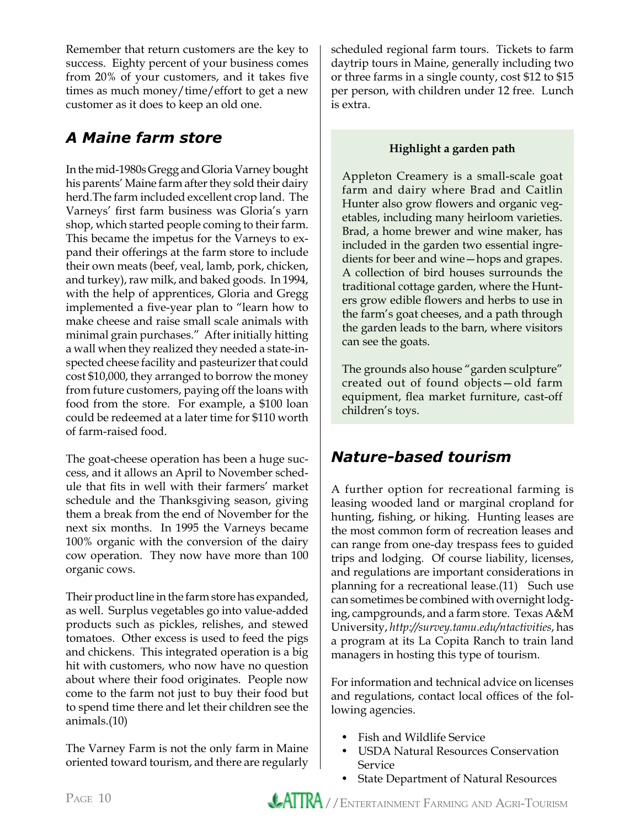Remember that return customers are the key to success. Eighty percent of your business comes from 20% of your customers, and it takes five times as much money/time/effort to get a new customer as it does to keep an old one.

### *A Maine farm store*

In the mid-1980s Gregg and Gloria Varney bought his parents' Maine farm after they sold their dairy herd.The farm included excellent crop land. The Varneys' first farm business was Gloria's yarn shop, which started people coming to their farm. This became the impetus for the Varneys to expand their offerings at the farm store to include their own meats (beef, veal, lamb, pork, chicken, and turkey), raw milk, and baked goods. In 1994, with the help of apprentices, Gloria and Gregg implemented a five-year plan to "learn how to make cheese and raise small scale animals with minimal grain purchases." After initially hitting a wall when they realized they needed a state-inspected cheese facility and pasteurizer that could cost \$10,000, they arranged to borrow the money from future customers, paying off the loans with food from the store. For example, a \$100 loan could be redeemed at a later time for \$110 worth of farm-raised food.

The goat-cheese operation has been a huge success, and it allows an April to November schedule that fits in well with their farmers' market schedule and the Thanksgiving season, giving them a break from the end of November for the next six months. In 1995 the Varneys became 100% organic with the conversion of the dairy cow operation. They now have more than 100 organic cows.

Their product line in the farm store has expanded, as well. Surplus vegetables go into value-added products such as pickles, relishes, and stewed tomatoes. Other excess is used to feed the pigs and chickens. This integrated operation is a big hit with customers, who now have no question about where their food originates. People now come to the farm not just to buy their food but to spend time there and let their children see the animals.(10)

The Varney Farm is not the only farm in Maine oriented toward tourism, and there are regularly scheduled regional farm tours. Tickets to farm daytrip tours in Maine, generally including two or three farms in a single county, cost \$12 to \$15 per person, with children under 12 free. Lunch is extra.

### **Highlight a garden path**

Appleton Creamery is a small-scale goat farm and dairy where Brad and Caitlin Hunter also grow flowers and organic vegetables, including many heirloom varieties. Brad, a home brewer and wine maker, has included in the garden two essential ingredients for beer and wine—hops and grapes. A collection of bird houses surrounds the traditional cottage garden, where the Hunters grow edible flowers and herbs to use in the farm's goat cheeses, and a path through the garden leads to the barn, where visitors can see the goats.

The grounds also house "garden sculpture" created out of found objects—old farm equipment, flea market furniture, cast-off children's toys.

### *Nature-based tourism*

A further option for recreational farming is leasing wooded land or marginal cropland for hunting, fishing, or hiking. Hunting leases are the most common form of recreation leases and can range from one-day trespass fees to guided trips and lodging. Of course liability, licenses, and regulations are important considerations in planning for a recreational lease.(11) Such use can sometimes be combined with overnight lodging, campgrounds, and a farm store. Texas A&M University, *http://survey.tamu.edu/ntactivities*, has a program at its La Copita Ranch to train land managers in hosting this type of tourism.

For information and technical advice on licenses and regulations, contact local offices of the following agencies.

- Fish and Wildlife Service
- USDA Natural Resources Conservation Service
- State Department of Natural Resources

PAGE 10 **ATTRA** / ENTERTAINMENT FARMING AND AGRI-TOURISM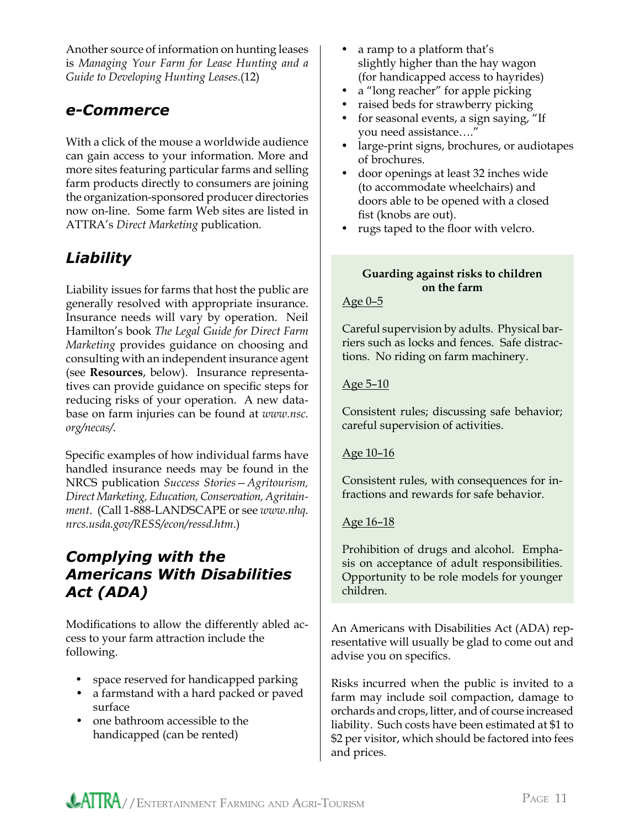Another source of information on hunting leases is *Managing Your Farm for Lease Hunting and a Guide to Developing Hunting Leases*.(12)

### *e-Commerce*

With a click of the mouse a worldwide audience can gain access to your information. More and more sites featuring particular farms and selling farm products directly to consumers are joining the organization-sponsored producer directories now on-line. Some farm Web sites are listed in ATTRA's *Direct Marketing* publication.

### *Liability*

Liability issues for farms that host the public are generally resolved with appropriate insurance. Insurance needs will vary by operation. Neil Hamilton's book *The Legal Guide for Direct Farm Marketing* provides guidance on choosing and consulting with an independent insurance agent (see **Resources**, below). Insurance representatives can provide guidance on specific steps for reducing risks of your operation. A new database on farm injuries can be found at *www.nsc. org/necas/*.

Specific examples of how individual farms have handled insurance needs may be found in the NRCS publication *Success Stories—Agritourism, Direct Marketing, Education, Conservation, Agritainment*. (Call 1-888-LANDSCAPE or see *www.nhq. nrcs.usda.gov/RESS/econ/ressd.htm*.)

### *Complying with the Americans With Disabilities Act (ADA)*

Modifications to allow the differently abled access to your farm attraction include the following.

- space reserved for handicapped parking
- a farmstand with a hard packed or paved surface
- one bathroom accessible to the handicapped (can be rented)
- a ramp to a platform that's slightly higher than the hay wagon (for handicapped access to hayrides)
- a "long reacher" for apple picking
- raised beds for strawberry picking
- for seasonal events, a sign saying, "If you need assistance…."
- large-print signs, brochures, or audiotapes of brochures.
- door openings at least 32 inches wide (to accommodate wheelchairs) and doors able to be opened with a closed fist (knobs are out).
- rugs taped to the floor with velcro.

#### **Guarding against risks to children on the farm**

#### Age 0–5

Careful supervision by adults. Physical barriers such as locks and fences. Safe distractions. No riding on farm machinery.

#### Age 5–10

Consistent rules; discussing safe behavior; careful supervision of activities.

### Age 10–16

Consistent rules, with consequences for infractions and rewards for safe behavior.

### Age 16–18

Prohibition of drugs and alcohol. Emphasis on acceptance of adult responsibilities. Opportunity to be role models for younger children.

An Americans with Disabilities Act (ADA) representative will usually be glad to come out and advise you on specifics.

Risks incurred when the public is invited to a farm may include soil compaction, damage to orchards and crops, litter, and of course increased liability. Such costs have been estimated at \$1 to \$2 per visitor, which should be factored into fees and prices.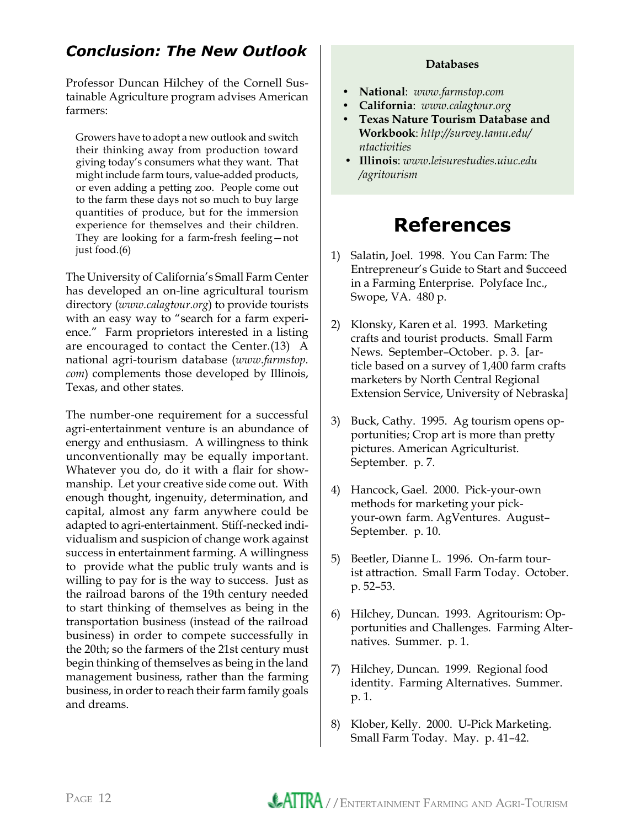### *Conclusion: The New Outlook*

Professor Duncan Hilchey of the Cornell Sustainable Agriculture program advises American farmers:

Growers have to adopt a new outlook and switch their thinking away from production toward giving today's consumers what they want. That might include farm tours, value-added products, or even adding a petting zoo. People come out to the farm these days not so much to buy large quantities of produce, but for the immersion experience for themselves and their children. They are looking for a farm-fresh feeling—not just food.(6)

The University of California's Small Farm Center has developed an on-line agricultural tourism directory (*www.calagtour.org*) to provide tourists with an easy way to "search for a farm experience." Farm proprietors interested in a listing are encouraged to contact the Center.(13) A national agri-tourism database (*www.farmstop. com*) complements those developed by Illinois, Texas, and other states.

The number-one requirement for a successful agri-entertainment venture is an abundance of energy and enthusiasm. A willingness to think unconventionally may be equally important. Whatever you do, do it with a flair for showmanship. Let your creative side come out. With enough thought, ingenuity, determination, and capital, almost any farm anywhere could be adapted to agri-entertainment. Stiff-necked individualism and suspicion of change work against success in entertainment farming. A willingness to provide what the public truly wants and is willing to pay for is the way to success. Just as the railroad barons of the 19th century needed to start thinking of themselves as being in the transportation business (instead of the railroad business) in order to compete successfully in the 20th; so the farmers of the 21st century must begin thinking of themselves as being in the land management business, rather than the farming business, in order to reach their farm family goals and dreams.

#### **Databases**

- **National**: *www.farmstop.com*
- **California**: *www.calagtour.org*
- **Texas Nature Tourism Database and Workbook**: *http://survey.tamu.edu/ ntactivities*
- **Illinois**: *www.leisurestudies.uiuc.edu /agritourism*

### **References**

- 1) Salatin, Joel. 1998. You Can Farm: The Entrepreneur's Guide to Start and \$ucceed in a Farming Enterprise. Polyface Inc., Swope, VA. 480 p.
- 2) Klonsky, Karen et al. 1993. Marketing crafts and tourist products. Small Farm News. September–October. p. 3. [ar ticle based on a survey of 1,400 farm crafts marketers by North Central Regional Extension Service, University of Nebraska]
- 3) Buck, Cathy. 1995. Ag tourism opens op portunities; Crop art is more than pretty pictures. American Agriculturist. September. p. 7.
- 4) Hancock, Gael. 2000. Pick-your-own methods for marketing your pick your-own farm. AgVentures. August– September. p. 10.
- 5) Beetler, Dianne L. 1996. On-farm tour ist attraction. Small Farm Today. October. p. 52–53.
- 6) Hilchey, Duncan. 1993. Agritourism: Op portunities and Challenges. Farming Alter natives. Summer. p. 1.
- 7) Hilchey, Duncan. 1999. Regional food identity. Farming Alternatives. Summer. p. 1.
- 8) Klober, Kelly. 2000. U-Pick Marketing. Small Farm Today. May. p. 41–42.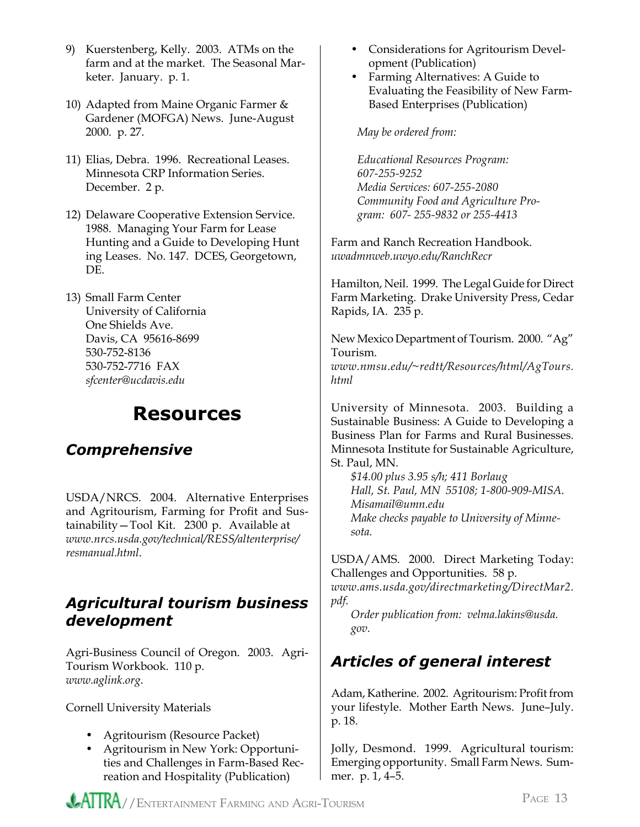- 9) Kuerstenberg, Kelly. 2003. ATMs on the farm and at the market. The Seasonal Mar keter. January. p. 1.
- 10) Adapted from Maine Organic Farmer & Gardener (MOFGA) News. June-August 2000. p. 27.
- 11) Elias, Debra. 1996. Recreational Leases. Minnesota CRP Information Series. December. 2 p.
- 12) Delaware Cooperative Extension Service. 1988. Managing Your Farm for Lease Hunting and a Guide to Developing Hunt ing Leases. No. 147. DCES, Georgetown, DE.
- 13) Small Farm Center University of California One Shields Ave. Davis, CA 95616-8699 530-752-8136 530-752-7716 FAX *[sfcenter@ucdavis.edu](mailto:sfcenter@ucdavis.edu)*

### **Resources**

### *Comprehensive*

USDA/NRCS. 2004. Alternative Enterprises and Agritourism, Farming for Profit and Sustainability—Tool Kit. 2300 p. Available at *[www.nrcs.usda.gov/technical/RESS/altenterprise/](http://www.nrcs.usda.gov/technical/RESS/altenterprise/resmanual.html) resmanual.html*.

### *Agricultural tourism business development*

Agri-Business Council of Oregon. 2003. Agri-Tourism Workbook. 110 p. *[www.aglink.org](http://www.aglink.org)*.

Cornell University Materials

- Agritourism (Resource Packet)
- Agritourism in New York: Opportuni ties and Challenges in Farm-Based Rec reation and Hospitality (Publication)
- Considerations for Agritourism Devel opment (Publication)
- Farming Alternatives: A Guide to Evaluating the Feasibility of New Farm- Based Enterprises (Publication)

#### *May be ordered from:*

 *Educational Resources Program: 607-255-9252 Media Services: 607-255-2080 Community Food and Agriculture Pro gram: 607- 255-9832 or 255-4413*

Farm and Ranch Recreation Handbook. *[uwadmnweb.uwyo.edu/RanchRecr](http://uwadmnweb.uwyo.edu/RanchRecr)*

Hamilton, Neil. 1999. The Legal Guide for Direct Farm Marketing. Drake University Press, Cedar Rapids, IA. 235 p.

New Mexico Department of Tourism. 2000. "Ag" Tourism.

*[www.nmsu.edu/~redtt/Resources/html/AgTours.](http://www.nmsu.edu/~redtt/Resources/html/AgTours.html) html*

University of Minnesota. 2003. Building a Sustainable Business: A Guide to Developing a Business Plan for Farms and Rural Businesses. Minnesota Institute for Sustainable Agriculture, St. Paul, MN.

 *\$14.00 plus 3.95 s/h; 411 Borlaug Hall, St. Paul, MN 55108; 1-800-909-MISA. [Misamail@umn.edu](mailto:Misamail@umn.edu) Make checks payable to University of Minne sota.*

USDA/AMS. 2000. Direct Marketing Today: Challenges and Opportunities. 58 p.

*[www.ams.usda.gov/directmarketing/DirectMar2.](http://www.ams.usda.gov/directmarketing/DirectMar2.pdf) pdf.* 

 *Order publication from: [velma.lakins@usda.](mailto:velma.lakins@usda.gov)  gov.*

### *Articles of general interest*

Adam, Katherine. 2002. Agritourism: Profit from your lifestyle. Mother Earth News. June–July. p. 18.

Jolly, Desmond. 1999. Agricultural tourism: Emerging opportunity. Small Farm News. Summer. p. 1, 4–5.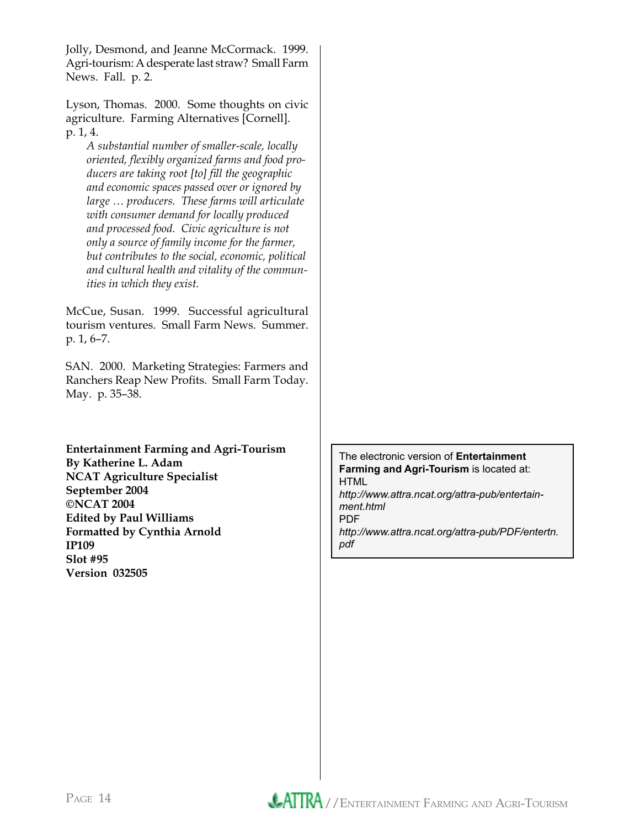Jolly, Desmond, and Jeanne McCormack. 1999. Agri-tourism: A desperate last straw? Small Farm News. Fall. p. 2.

Lyson, Thomas. 2000. Some thoughts on civic agriculture. Farming Alternatives [Cornell]. p. 1, 4.

 *A substantial number of smaller-scale, locally oriented, flexibly organized farms and food pro ducers are taking root [to] fill the geographic and economic spaces passed over or ignored by large … producers. These farms will articulate with consumer demand for locally produced and processed food. Civic agriculture is not only a source of family income for the farmer, but contributes to the social, economic, political and* c*ultural health and vitality of the commun ities in which they exist.*

McCue, Susan. 1999. Successful agricultural tourism ventures. Small Farm News. Summer. p. 1, 6–7.

SAN. 2000. Marketing Strategies: Farmers and Ranchers Reap New Profits. Small Farm Today. May. p. 35–38.

**Entertainment Farming and Agri-Tourism By [Katherine L. Adam](mailto:kadam@ncat.org) NCAT Agriculture Specialist September 2004 ©NCAT 2004 Edited by Paul Williams Formatted by Cynthia Arnold IP109 Slot #95 Version 032505**

The electronic version of **Entertainment Farming and Agri-Tourism** is located at: HTML *[http://www.attra.ncat.org/attra-pub/entertain](http://www.attra.ncat.org/attra-pub/entertainment.html)ment.html* PDF *[http://www.attra.ncat.org/attra-pub/PDF/entertn.](http://www.attra.ncat.org/attra-pub/PDF/entertn.pdf) pdf*

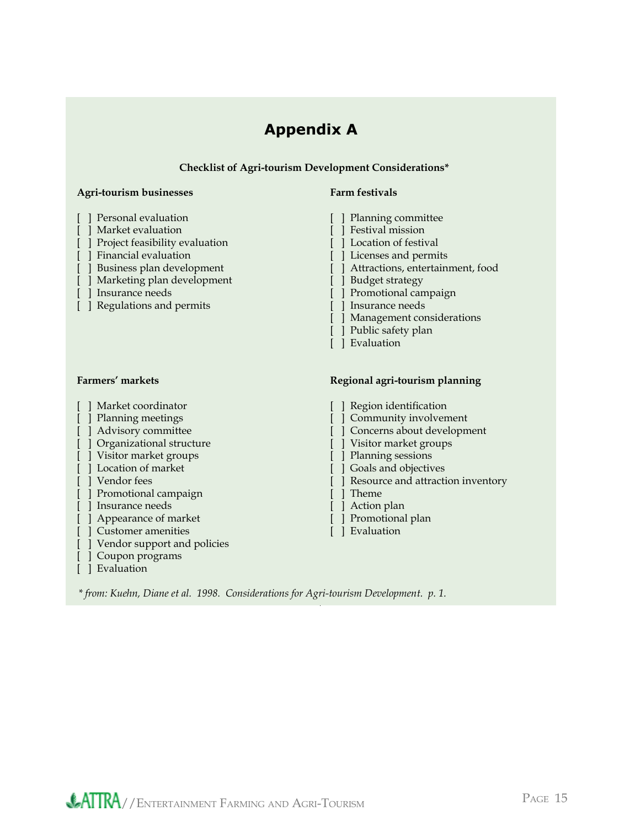### **Appendix A**

#### **Checklist of Agri-tourism Development Considerations\***

#### **Agri-tourism businesses Farm festivals**

- 
- 
- [ ] Market evaluation [ ] Festival mission [ ] Festival mission [ ] Project feasibility evaluation [ ] ] Location of festival  $[$   $]$  Project feasibility evaluation
- 
- 
- [ ] Marketing plan development [ ] Budget strategy
- 
- [ ] Regulations and permits [ ] Insurance needs

- 
- 
- 
- 
- [ ] Visitor market groups [ ] Planning sessions
- [ ] Location of market [ ] Goals and objectives
- 
- [ ] Promotional campaign [ ] Theme
- [ ] Insurance needs [ ] Action plan [ ] Action plan [ ] Appearance of market [ ] [ ] Promotional plan [ ] Promotional plan [ ] ]  $\frac{1}{2}$
- [ ] Appearance of market [ ] Promotional planned in the set of market [ ] Promotional planned in the set of planned in the set of planned in the set of planned in the set of planned in the set of planned in the set of plan
- [ ] Customer amenities
- [ ] Vendor support and policies
- [ ] Coupon programs
- [ ] Evaluation

- [ ] Personal evaluation [ ] Planning committee
	-
	-
- [ ] Financial evaluation [ ] Licenses and permits
- [ ] Business plan development [ ] Attractions, entertainment, food
	-
	- [ ] Promotional campaign
	-
	- [ ] Management considerations
	- [ ] Public safety plan
	- [ ] Evaluation

#### Farmers' markets **Regional agri-tourism planning**

- [ ] Market coordinator [ ] Region identification [ ] Planning meetings [ ] Community involvement [ ] Advisory committee [ ] Concerns about development [ ] Organizational structure [ ] Visitor market groups
	-
- [ ] Vendor fees **[ ]** Resource and attraction inventory
	-
	-
	-
	-

*\* from: Kuehn, Diane et al. 1998. Considerations for Agri-tourism Development. p. 1.*